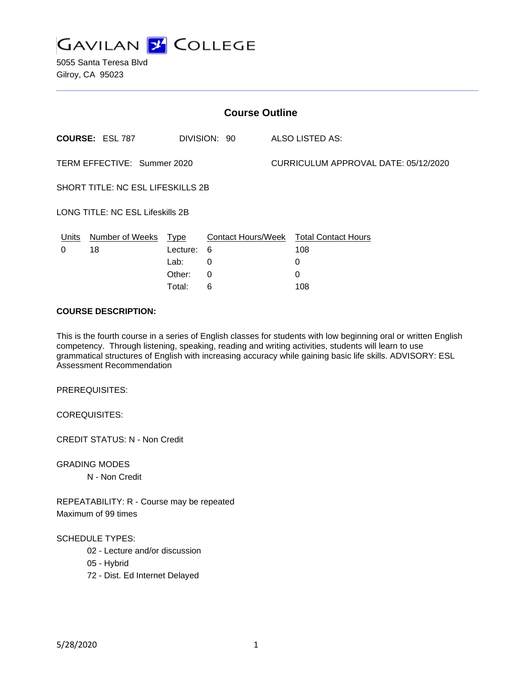

| <b>Course Outline</b>             |                        |          |              |  |                                        |  |
|-----------------------------------|------------------------|----------|--------------|--|----------------------------------------|--|
|                                   | <b>COURSE: ESL 787</b> |          | DIVISION: 90 |  | ALSO LISTED AS:                        |  |
| TERM EFFECTIVE: Summer 2020       |                        |          |              |  | CURRICULUM APPROVAL DATE: 05/12/2020   |  |
| SHORT TITLE: NC ESL LIFESKILLS 2B |                        |          |              |  |                                        |  |
| LONG TITLE: NC ESL Lifeskills 2B  |                        |          |              |  |                                        |  |
| Units                             | Number of Weeks        | Type     |              |  | Contact Hours/Week Total Contact Hours |  |
| 0                                 | 18                     | Lecture: | 6            |  | 108                                    |  |
|                                   |                        | Lab:     | 0            |  | 0                                      |  |
|                                   |                        | Other:   | 0            |  | 0                                      |  |
|                                   |                        | Total:   | 6            |  | 108                                    |  |

#### **COURSE DESCRIPTION:**

This is the fourth course in a series of English classes for students with low beginning oral or written English competency. Through listening, speaking, reading and writing activities, students will learn to use grammatical structures of English with increasing accuracy while gaining basic life skills. ADVISORY: ESL Assessment Recommendation

PREREQUISITES:

COREQUISITES:

CREDIT STATUS: N - Non Credit

GRADING MODES

N - Non Credit

REPEATABILITY: R - Course may be repeated Maximum of 99 times

SCHEDULE TYPES:

02 - Lecture and/or discussion

05 - Hybrid

72 - Dist. Ed Internet Delayed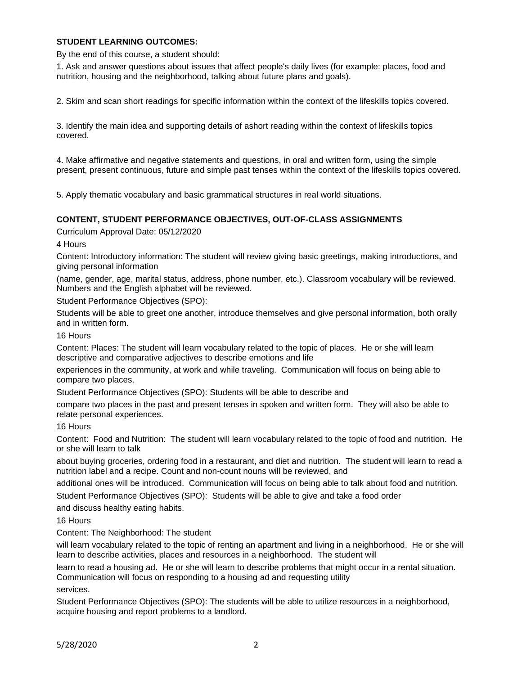## **STUDENT LEARNING OUTCOMES:**

By the end of this course, a student should:

1. Ask and answer questions about issues that affect people's daily lives (for example: places, food and nutrition, housing and the neighborhood, talking about future plans and goals).

2. Skim and scan short readings for specific information within the context of the lifeskills topics covered.

3. Identify the main idea and supporting details of ashort reading within the context of lifeskills topics covered.

4. Make affirmative and negative statements and questions, in oral and written form, using the simple present, present continuous, future and simple past tenses within the context of the lifeskills topics covered.

5. Apply thematic vocabulary and basic grammatical structures in real world situations.

## **CONTENT, STUDENT PERFORMANCE OBJECTIVES, OUT-OF-CLASS ASSIGNMENTS**

Curriculum Approval Date: 05/12/2020

4 Hours

Content: Introductory information: The student will review giving basic greetings, making introductions, and giving personal information

(name, gender, age, marital status, address, phone number, etc.). Classroom vocabulary will be reviewed. Numbers and the English alphabet will be reviewed.

Student Performance Objectives (SPO):

Students will be able to greet one another, introduce themselves and give personal information, both orally and in written form.

16 Hours

Content: Places: The student will learn vocabulary related to the topic of places. He or she will learn descriptive and comparative adjectives to describe emotions and life

experiences in the community, at work and while traveling. Communication will focus on being able to compare two places.

Student Performance Objectives (SPO): Students will be able to describe and

compare two places in the past and present tenses in spoken and written form. They will also be able to relate personal experiences.

#### 16 Hours

Content: Food and Nutrition: The student will learn vocabulary related to the topic of food and nutrition. He or she will learn to talk

about buying groceries, ordering food in a restaurant, and diet and nutrition. The student will learn to read a nutrition label and a recipe. Count and non-count nouns will be reviewed, and

additional ones will be introduced. Communication will focus on being able to talk about food and nutrition.

Student Performance Objectives (SPO): Students will be able to give and take a food order

and discuss healthy eating habits.

16 Hours

Content: The Neighborhood: The student

will learn vocabulary related to the topic of renting an apartment and living in a neighborhood. He or she will learn to describe activities, places and resources in a neighborhood. The student will

learn to read a housing ad. He or she will learn to describe problems that might occur in a rental situation. Communication will focus on responding to a housing ad and requesting utility

services.

Student Performance Objectives (SPO): The students will be able to utilize resources in a neighborhood, acquire housing and report problems to a landlord.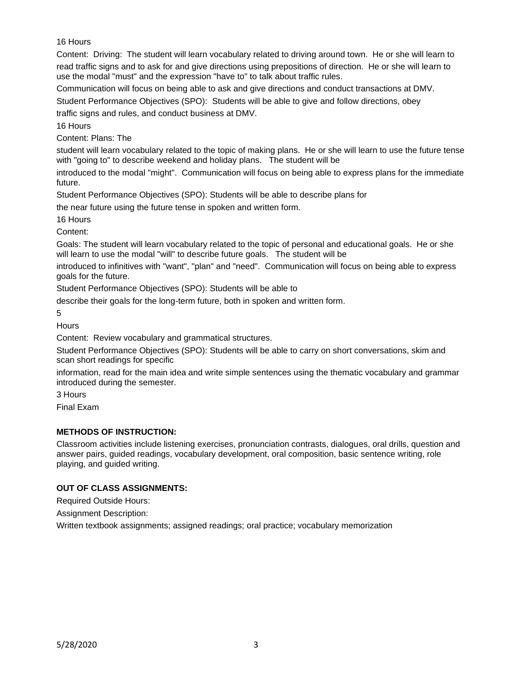# 16 Hours

Content: Driving: The student will learn vocabulary related to driving around town. He or she will learn to

read traffic signs and to ask for and give directions using prepositions of direction. He or she will learn to use the modal "must" and the expression "have to" to talk about traffic rules.

Communication will focus on being able to ask and give directions and conduct transactions at DMV.

Student Performance Objectives (SPO): Students will be able to give and follow directions, obey

traffic signs and rules, and conduct business at DMV.

16 Hours

Content: Plans: The

student will learn vocabulary related to the topic of making plans. He or she will learn to use the future tense with "going to" to describe weekend and holiday plans. The student will be

introduced to the modal "might". Communication will focus on being able to express plans for the immediate future.

Student Performance Objectives (SPO): Students will be able to describe plans for

the near future using the future tense in spoken and written form.

16 Hours

Content:

Goals: The student will learn vocabulary related to the topic of personal and educational goals. He or she will learn to use the modal "will" to describe future goals. The student will be

introduced to infinitives with "want", "plan" and "need". Communication will focus on being able to express goals for the future.

Student Performance Objectives (SPO): Students will be able to

describe their goals for the long-term future, both in spoken and written form.

5

**Hours** 

Content: Review vocabulary and grammatical structures.

Student Performance Objectives (SPO): Students will be able to carry on short conversations, skim and scan short readings for specific

information, read for the main idea and write simple sentences using the thematic vocabulary and grammar introduced during the semester.

3 Hours

Final Exam

# **METHODS OF INSTRUCTION:**

Classroom activities include listening exercises, pronunciation contrasts, dialogues, oral drills, question and answer pairs, guided readings, vocabulary development, oral composition, basic sentence writing, role playing, and guided writing.

# **OUT OF CLASS ASSIGNMENTS:**

Required Outside Hours:

Assignment Description:

Written textbook assignments; assigned readings; oral practice; vocabulary memorization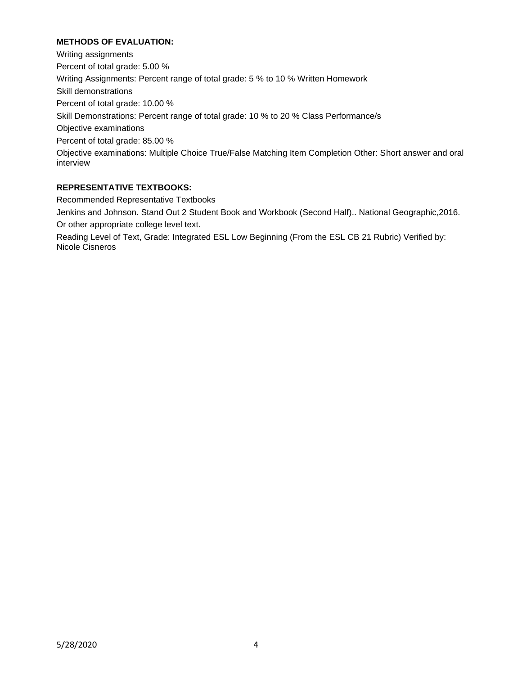# **METHODS OF EVALUATION:**

Writing assignments Percent of total grade: 5.00 % Writing Assignments: Percent range of total grade: 5 % to 10 % Written Homework Skill demonstrations Percent of total grade: 10.00 % Skill Demonstrations: Percent range of total grade: 10 % to 20 % Class Performance/s Objective examinations Percent of total grade: 85.00 % Objective examinations: Multiple Choice True/False Matching Item Completion Other: Short answer and oral interview

# **REPRESENTATIVE TEXTBOOKS:**

Recommended Representative Textbooks

Jenkins and Johnson. Stand Out 2 Student Book and Workbook (Second Half).. National Geographic,2016. Or other appropriate college level text.

Reading Level of Text, Grade: Integrated ESL Low Beginning (From the ESL CB 21 Rubric) Verified by: Nicole Cisneros